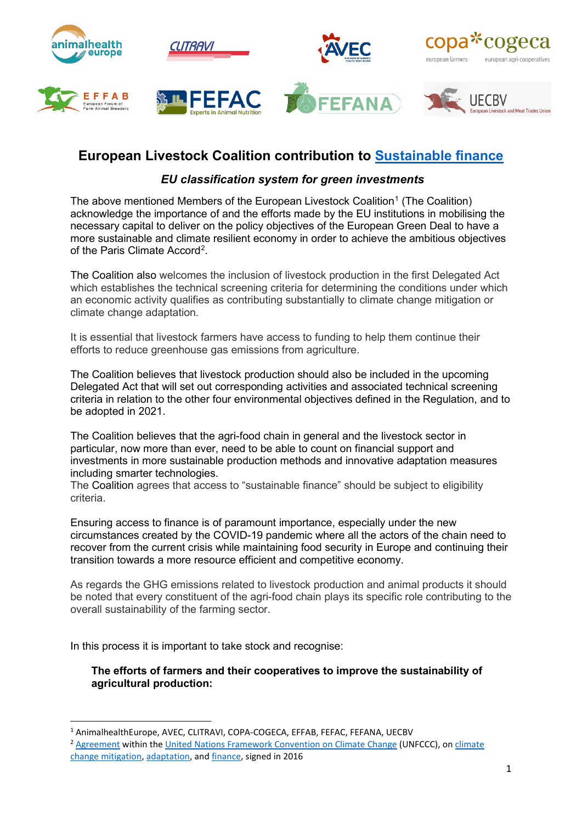

# **European Livestock Coalition contribution to [Sustainable finance](https://ec.europa.eu/info/law/better-regulation/have-your-say/initiatives/12302-Sustainable-finance-EU-classification-system-for-green-investments)**

## *EU classification system for green investments*

The above mentioned Members of the European Livestock Coalition<sup>[1](#page-0-0)</sup> (The Coalition) acknowledge the importance of and the efforts made by the EU institutions in mobilising the necessary capital to deliver on the policy objectives of the European Green Deal to have a more sustainable and climate resilient economy in order to achieve the ambitious objectives of the Paris Climate Accord<sup>[2](#page-0-1)</sup>.

The Coalition also welcomes the inclusion of livestock production in the first Delegated Act which establishes the technical screening criteria for determining the conditions under which an economic activity qualifies as contributing substantially to climate change mitigation or climate change adaptation.

It is essential that livestock farmers have access to funding to help them continue their efforts to reduce greenhouse gas emissions from agriculture.

The Coalition believes that livestock production should also be included in the upcoming Delegated Act that will set out corresponding activities and associated technical screening criteria in relation to the other four environmental objectives defined in the Regulation, and to be adopted in 2021.

The Coalition believes that the agri-food chain in general and the livestock sector in particular, now more than ever, need to be able to count on financial support and investments in more sustainable production methods and innovative adaptation measures including smarter technologies.

The Coalition agrees that access to "sustainable finance" should be subject to eligibility criteria.

Ensuring access to finance is of paramount importance, especially under the new circumstances created by the COVID-19 pandemic where all the actors of the chain need to recover from the current crisis while maintaining food security in Europe and continuing their transition towards a more resource efficient and competitive economy.

As regards the GHG emissions related to livestock production and animal products it should be noted that every constituent of the agri-food chain plays its specific role contributing to the overall sustainability of the farming sector.

In this process it is important to take stock and recognise:

### **The efforts of farmers and their cooperatives to improve the sustainability of agricultural production:**

<span id="page-0-0"></span><sup>1</sup> AnimalhealthEurope, AVEC, CLITRAVI, COPA-COGECA, EFFAB, FEFAC, FEFANA, UECBV

<span id="page-0-1"></span><sup>&</sup>lt;sup>2</sup> [Agreement](https://treaties.un.org/Pages/ViewDetails.aspx?src=TREATY&mtdsg_no=XXVII-7-d&chapter=27&clang=_en) within the [United Nations Framework Convention on Climate Change](https://en.wikipedia.org/wiki/United_Nations_Framework_Convention_on_Climate_Change) (UNFCCC), on climate [change mitigation,](https://en.wikipedia.org/wiki/Climate_change_mitigation) [adaptation,](https://en.wikipedia.org/wiki/Climate_change_adaptation) an[d finance,](https://en.wikipedia.org/wiki/Climate_finance) signed in 2016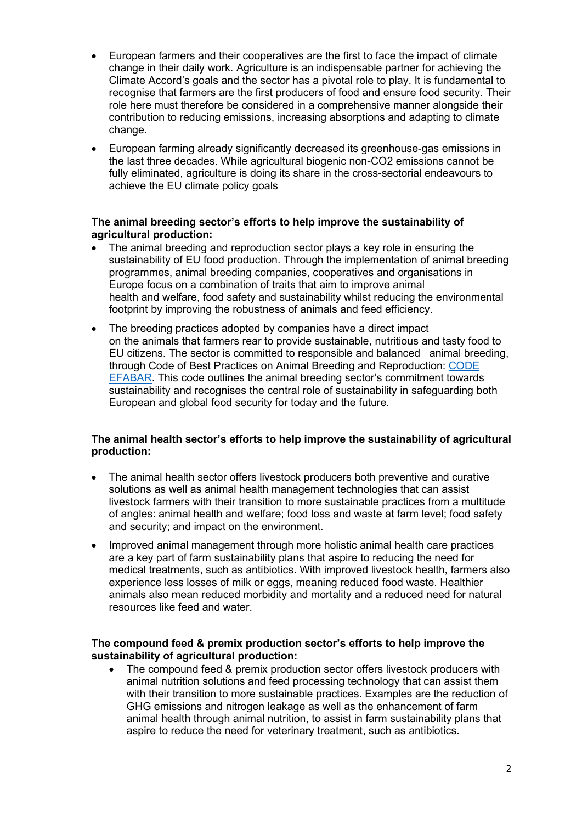- European farmers and their cooperatives are the first to face the impact of climate change in their daily work. Agriculture is an indispensable partner for achieving the Climate Accord's goals and the sector has a pivotal role to play. It is fundamental to recognise that farmers are the first producers of food and ensure food security. Their role here must therefore be considered in a comprehensive manner alongside their contribution to reducing emissions, increasing absorptions and adapting to climate change.
- European farming already significantly decreased its greenhouse-gas emissions in the last three decades. While agricultural biogenic non-CO2 emissions cannot be fully eliminated, agriculture is doing its share in the cross-sectorial endeavours to achieve the EU climate policy goals

#### **The animal breeding sector's efforts to help improve the sustainability of agricultural production:**

- The animal breeding and reproduction sector plays a key role in ensuring the sustainability of EU food production. Through the implementation of animal breeding programmes, animal breeding companies, cooperatives and organisations in Europe focus on a combination of traits that aim to improve animal health and welfare, food safety and sustainability whilst reducing the environmental footprint by improving the robustness of animals and feed efficiency.
- The breeding practices adopted by companies have a direct impact on the animals that farmers rear to provide sustainable, nutritious and tasty food to EU citizens. The sector is committed to responsible and balanced animal breeding, through Code of Best Practices on Animal Breeding and Reproduction: [CODE](https://www.responsiblebreeding.eu/)  [EFABAR.](https://www.responsiblebreeding.eu/) This code outlines the animal breeding sector's commitment towards sustainability and recognises the central role of sustainability in safeguarding both European and global food security for today and the future.

### **The animal health sector's efforts to help improve the sustainability of agricultural production:**

- The animal health sector offers livestock producers both preventive and curative solutions as well as animal health management technologies that can assist livestock farmers with their transition to more sustainable practices from a multitude of angles: animal health and welfare; food loss and waste at farm level; food safety and security; and impact on the environment.
- Improved animal management through more holistic animal health care practices are a key part of farm sustainability plans that aspire to reducing the need for medical treatments, such as antibiotics. With improved livestock health, farmers also experience less losses of milk or eggs, meaning reduced food waste. Healthier animals also mean reduced morbidity and mortality and a reduced need for natural resources like feed and water.

### **The compound feed & premix production sector's efforts to help improve the sustainability of agricultural production:**

• The compound feed & premix production sector offers livestock producers with animal nutrition solutions and feed processing technology that can assist them with their transition to more sustainable practices. Examples are the reduction of GHG emissions and nitrogen leakage as well as the enhancement of farm animal health through animal nutrition, to assist in farm sustainability plans that aspire to reduce the need for veterinary treatment, such as antibiotics.